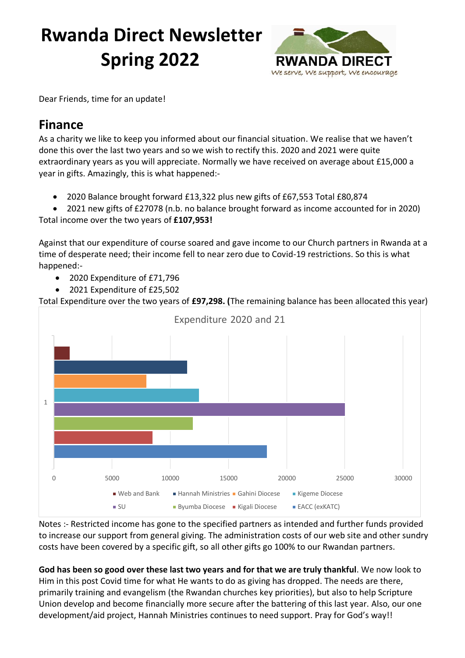# **Rwanda Direct Newsletter Spring 2022**



Dear Friends, time for an update!

# **Finance**

As a charity we like to keep you informed about our financial situation. We realise that we haven't done this over the last two years and so we wish to rectify this. 2020 and 2021 were quite extraordinary years as you will appreciate. Normally we have received on average about £15,000 a year in gifts. Amazingly, this is what happened:-

- 2020 Balance brought forward £13,322 plus new gifts of £67,553 Total £80,874
- 2021 new gifts of £27078 (n.b. no balance brought forward as income accounted for in 2020)

Total income over the two years of **£107,953!**

Against that our expenditure of course soared and gave income to our Church partners in Rwanda at a time of desperate need; their income fell to near zero due to Covid-19 restrictions. So this is what happened:-

- 2020 Expenditure of £71,796
- 2021 Expenditure of £25,502

Total Expenditure over the two years of **£97,298. (**The remaining balance has been allocated this year)



Notes :- Restricted income has gone to the specified partners as intended and further funds provided to increase our support from general giving. The administration costs of our web site and other sundry costs have been covered by a specific gift, so all other gifts go 100% to our Rwandan partners.

**God has been so good over these last two years and for that we are truly thankful**. We now look to Him in this post Covid time for what He wants to do as giving has dropped. The needs are there, primarily training and evangelism (the Rwandan churches key priorities), but also to help Scripture Union develop and become financially more secure after the battering of this last year. Also, our one development/aid project, Hannah Ministries continues to need support. Pray for God's way!!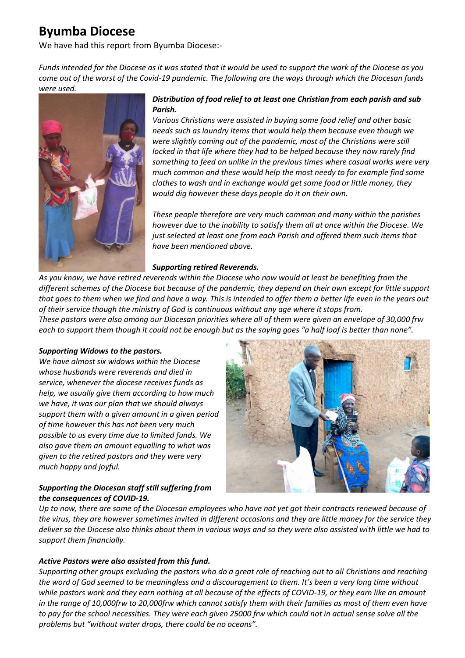# **Byumba Diocese**

We have had this report from Byumba Diocese:-

*Funds intended for the Diocese as it was stated that it would be used to support the work of the Diocese as you come out of the worst of the Covid-19 pandemic. The following are the ways through which the Diocesan funds were used.*



### *Distribution of food relief to at least one Christian from each parish and sub Parish.*

*Various Christians were assisted in buying some food relief and other basic needs such as laundry items that would help them because even though we were slightly coming out of the pandemic, most of the Christians were still locked in that life where they had to be helped because they now rarely find something to feed on unlike in the previous times where casual works were very much common and these would help the most needy to for example find some clothes to wash and in exchange would get some food or little money, they would dig however these days people do it on their own.*

*These people therefore are very much common and many within the parishes however due to the inability to satisfy them all at once within the Diocese. We just selected at least one from each Parish and offered them such items that have been mentioned above.*

#### *Supporting retired Reverends.*

*As you know, we have retired reverends within the Diocese who now would at least be benefiting from the different schemes of the Diocese but because of the pandemic, they depend on their own except for little support that goes to them when we find and have a way. This is intended to offer them a better life even in the years out of their service though the ministry of God is continuous without any age where it stops from. These pastors were also among our Diocesan priorities where all of them were given an envelope of 30,000 frw each to support them though it could not be enough but as the saying goes "a half loaf is better than none".*

#### *Supporting Widows to the pastors.*

*We have almost six widows within the Diocese whose husbands were reverends and died in service, whenever the diocese receives funds as help, we usually give them according to how much we have, it was our plan that we should always support them with a given amount in a given period of time however this has not been very much possible to us every time due to limited funds. We also gave them an amount equalling to what was given to the retired pastors and they were very much happy and joyful.* 

### *Supporting the Diocesan staff still suffering from the consequences of COVID-19.*

*Up to now, there are some of the Diocesan employees who have not yet got their contracts renewed because of the virus, they are however sometimes invited in different occasions and they are little money for the service they deliver so the Diocese also thinks about them in various ways and so they were also assisted with little we had to support them financially.*

#### *Active Pastors were also assisted from this fund.*

*Supporting other groups excluding the pastors who do a great role of reaching out to all Christians and reaching the word of God seemed to be meaningless and a discouragement to them. It's been a very long time without while pastors work and they earn nothing at all because of the effects of COVID-19, or they earn like an amount in the range of 10,000frw to 20,000frw which cannot satisfy them with their families as most of them even have to pay for the school necessities. They were each given 25000 frw which could not in actual sense solve all the problems but "without water drops, there could be no oceans".*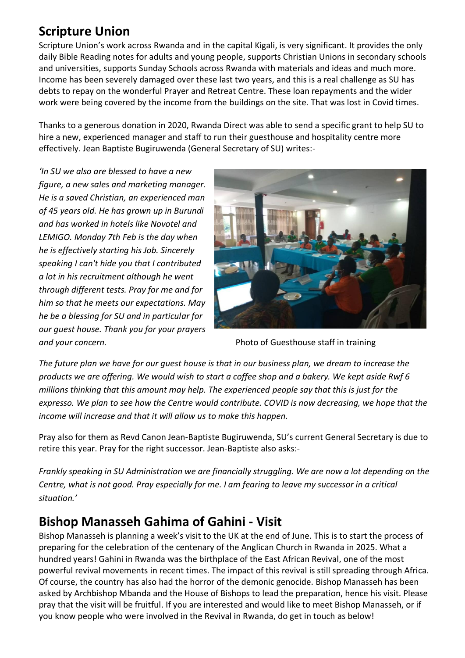# **Scripture Union**

Scripture Union's work across Rwanda and in the capital Kigali, is very significant. It provides the only daily Bible Reading notes for adults and young people, supports Christian Unions in secondary schools and universities, supports Sunday Schools across Rwanda with materials and ideas and much more. Income has been severely damaged over these last two years, and this is a real challenge as SU has debts to repay on the wonderful Prayer and Retreat Centre. These loan repayments and the wider work were being covered by the income from the buildings on the site. That was lost in Covid times.

Thanks to a generous donation in 2020, Rwanda Direct was able to send a specific grant to help SU to hire a new, experienced manager and staff to run their guesthouse and hospitality centre more effectively. Jean Baptiste Bugiruwenda (General Secretary of SU) writes:-

*'In SU we also are blessed to have a new figure, a new sales and marketing manager. He is a saved Christian, an experienced man of 45 years old. He has grown up in Burundi and has worked in hotels like Novotel and LEMIGO. Monday 7th Feb is the day when he is effectively starting his Job. Sincerely speaking I can't hide you that I contributed a lot in his recruitment although he went through different tests. Pray for me and for him so that he meets our expectations. May he be a blessing for SU and in particular for our guest house. Thank you for your prayers and your concern.* Photo of Guesthouse staff in training



*The future plan we have for our guest house is that in our business plan, we dream to increase the products we are offering. We would wish to start a coffee shop and a bakery. We kept aside Rwf 6 millions thinking that this amount may help. The experienced people say that this is just for the expresso. We plan to see how the Centre would contribute. COVID is now decreasing, we hope that the income will increase and that it will allow us to make this happen.*

Pray also for them as Revd Canon Jean-Baptiste Bugiruwenda, SU's current General Secretary is due to retire this year. Pray for the right successor. Jean-Baptiste also asks:-

*Frankly speaking in SU Administration we are financially struggling. We are now a lot depending on the Centre, what is not good. Pray especially for me. I am fearing to leave my successor in a critical situation.'*

# **Bishop Manasseh Gahima of Gahini - Visit**

Bishop Manasseh is planning a week's visit to the UK at the end of June. This is to start the process of preparing for the celebration of the centenary of the Anglican Church in Rwanda in 2025. What a hundred years! Gahini in Rwanda was the birthplace of the East African Revival, one of the most powerful revival movements in recent times. The impact of this revival is still spreading through Africa. Of course, the country has also had the horror of the demonic genocide. Bishop Manasseh has been asked by Archbishop Mbanda and the House of Bishops to lead the preparation, hence his visit. Please pray that the visit will be fruitful. If you are interested and would like to meet Bishop Manasseh, or if you know people who were involved in the Revival in Rwanda, do get in touch as below!